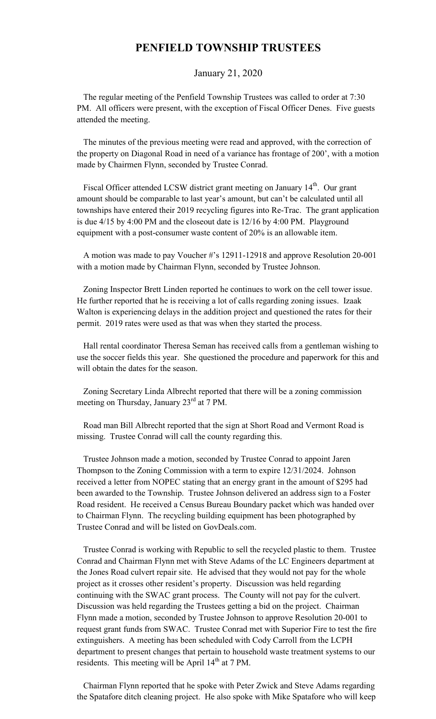## **PENFIELD TOWNSHIP TRUSTEES**

## January 21, 2020

 The regular meeting of the Penfield Township Trustees was called to order at 7:30 PM. All officers were present, with the exception of Fiscal Officer Denes. Five guests attended the meeting.

 The minutes of the previous meeting were read and approved, with the correction of the property on Diagonal Road in need of a variance has frontage of 200', with a motion made by Chairmen Flynn, seconded by Trustee Conrad.

Fiscal Officer attended LCSW district grant meeting on January 14<sup>th</sup>. Our grant amount should be comparable to last year's amount, but can't be calculated until all townships have entered their 2019 recycling figures into Re-Trac. The grant application is due 4/15 by 4:00 PM and the closeout date is 12/16 by 4:00 PM. Playground equipment with a post-consumer waste content of 20% is an allowable item.

 A motion was made to pay Voucher #'s 12911-12918 and approve Resolution 20-001 with a motion made by Chairman Flynn, seconded by Trustee Johnson.

 Zoning Inspector Brett Linden reported he continues to work on the cell tower issue. He further reported that he is receiving a lot of calls regarding zoning issues. Izaak Walton is experiencing delays in the addition project and questioned the rates for their permit. 2019 rates were used as that was when they started the process.

 Hall rental coordinator Theresa Seman has received calls from a gentleman wishing to use the soccer fields this year. She questioned the procedure and paperwork for this and will obtain the dates for the season.

 Zoning Secretary Linda Albrecht reported that there will be a zoning commission meeting on Thursday, January 23<sup>rd</sup> at 7 PM.

 Road man Bill Albrecht reported that the sign at Short Road and Vermont Road is missing. Trustee Conrad will call the county regarding this.

 Trustee Johnson made a motion, seconded by Trustee Conrad to appoint Jaren Thompson to the Zoning Commission with a term to expire 12/31/2024. Johnson received a letter from NOPEC stating that an energy grant in the amount of \$295 had been awarded to the Township. Trustee Johnson delivered an address sign to a Foster Road resident. He received a Census Bureau Boundary packet which was handed over to Chairman Flynn. The recycling building equipment has been photographed by Trustee Conrad and will be listed on GovDeals.com.

 Trustee Conrad is working with Republic to sell the recycled plastic to them. Trustee Conrad and Chairman Flynn met with Steve Adams of the LC Engineers department at the Jones Road culvert repair site. He advised that they would not pay for the whole project as it crosses other resident's property. Discussion was held regarding continuing with the SWAC grant process. The County will not pay for the culvert. Discussion was held regarding the Trustees getting a bid on the project. Chairman Flynn made a motion, seconded by Trustee Johnson to approve Resolution 20-001 to request grant funds from SWAC. Trustee Conrad met with Superior Fire to test the fire extinguishers. A meeting has been scheduled with Cody Carroll from the LCPH department to present changes that pertain to household waste treatment systems to our residents. This meeting will be April  $14<sup>th</sup>$  at 7 PM.

 Chairman Flynn reported that he spoke with Peter Zwick and Steve Adams regarding the Spatafore ditch cleaning project. He also spoke with Mike Spatafore who will keep